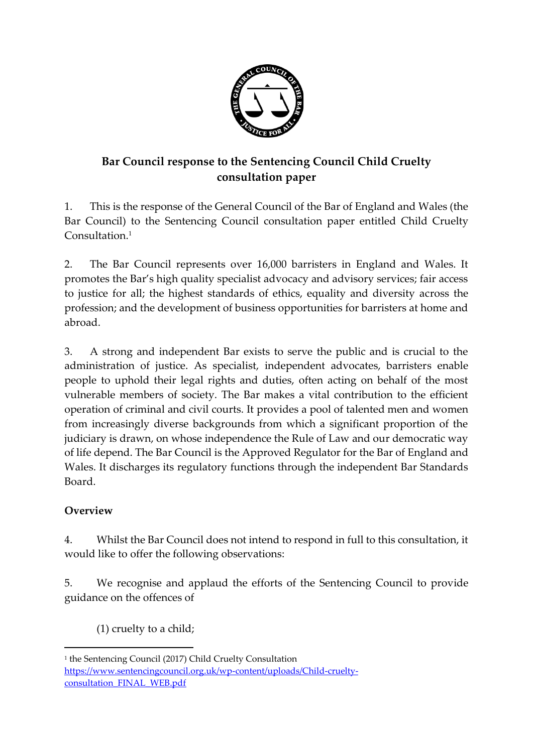

## **Bar Council response to the Sentencing Council Child Cruelty consultation paper**

1. This is the response of the General Council of the Bar of England and Wales (the Bar Council) to the Sentencing Council consultation paper entitled Child Cruelty Consultation. 1

2. The Bar Council represents over 16,000 barristers in England and Wales. It promotes the Bar's high quality specialist advocacy and advisory services; fair access to justice for all; the highest standards of ethics, equality and diversity across the profession; and the development of business opportunities for barristers at home and abroad.

3. A strong and independent Bar exists to serve the public and is crucial to the administration of justice. As specialist, independent advocates, barristers enable people to uphold their legal rights and duties, often acting on behalf of the most vulnerable members of society. The Bar makes a vital contribution to the efficient operation of criminal and civil courts. It provides a pool of talented men and women from increasingly diverse backgrounds from which a significant proportion of the judiciary is drawn, on whose independence the Rule of Law and our democratic way of life depend. The Bar Council is the Approved Regulator for the Bar of England and Wales. It discharges its regulatory functions through the independent Bar Standards Board.

## **Overview**

 $\overline{a}$ 

4. Whilst the Bar Council does not intend to respond in full to this consultation, it would like to offer the following observations:

5. We recognise and applaud the efforts of the Sentencing Council to provide guidance on the offences of

(1) cruelty to a child;

<sup>1</sup> the Sentencing Council (2017) Child Cruelty Consultation [https://www.sentencingcouncil.org.uk/wp-content/uploads/Child-cruelty](https://www.sentencingcouncil.org.uk/wp-content/uploads/Child-cruelty-consultation_FINAL_WEB.pdf)[consultation\\_FINAL\\_WEB.pdf](https://www.sentencingcouncil.org.uk/wp-content/uploads/Child-cruelty-consultation_FINAL_WEB.pdf)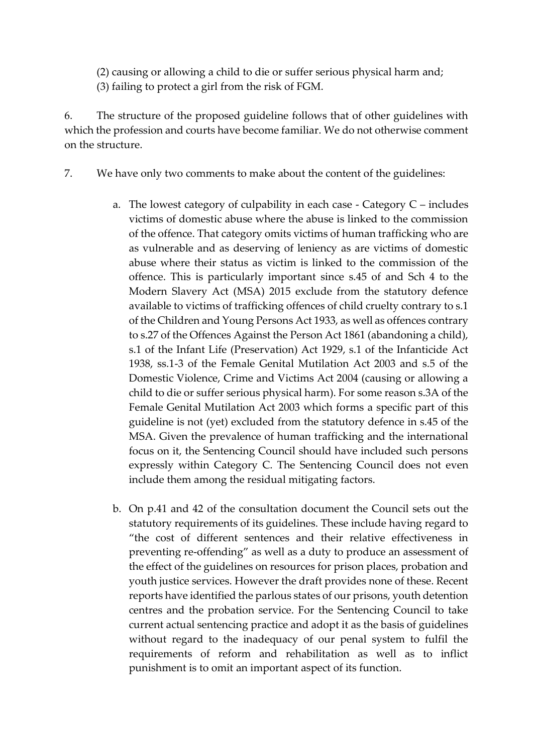(2) causing or allowing a child to die or suffer serious physical harm and; (3) failing to protect a girl from the risk of FGM.

6. The structure of the proposed guideline follows that of other guidelines with which the profession and courts have become familiar. We do not otherwise comment on the structure.

- 7. We have only two comments to make about the content of the guidelines:
	- a. The lowest category of culpability in each case Category C includes victims of domestic abuse where the abuse is linked to the commission of the offence. That category omits victims of human trafficking who are as vulnerable and as deserving of leniency as are victims of domestic abuse where their status as victim is linked to the commission of the offence. This is particularly important since s.45 of and Sch 4 to the Modern Slavery Act (MSA) 2015 exclude from the statutory defence available to victims of trafficking offences of child cruelty contrary to s.1 of the Children and Young Persons Act 1933, as well as offences contrary to s.27 of the Offences Against the Person Act 1861 (abandoning a child), s.1 of the Infant Life (Preservation) Act 1929, s.1 of the Infanticide Act 1938, ss.1-3 of the Female Genital Mutilation Act 2003 and s.5 of the Domestic Violence, Crime and Victims Act 2004 (causing or allowing a child to die or suffer serious physical harm). For some reason s.3A of the Female Genital Mutilation Act 2003 which forms a specific part of this guideline is not (yet) excluded from the statutory defence in s.45 of the MSA. Given the prevalence of human trafficking and the international focus on it, the Sentencing Council should have included such persons expressly within Category C. The Sentencing Council does not even include them among the residual mitigating factors.
	- b. On p.41 and 42 of the consultation document the Council sets out the statutory requirements of its guidelines. These include having regard to "the cost of different sentences and their relative effectiveness in preventing re-offending" as well as a duty to produce an assessment of the effect of the guidelines on resources for prison places, probation and youth justice services. However the draft provides none of these. Recent reports have identified the parlous states of our prisons, youth detention centres and the probation service. For the Sentencing Council to take current actual sentencing practice and adopt it as the basis of guidelines without regard to the inadequacy of our penal system to fulfil the requirements of reform and rehabilitation as well as to inflict punishment is to omit an important aspect of its function.